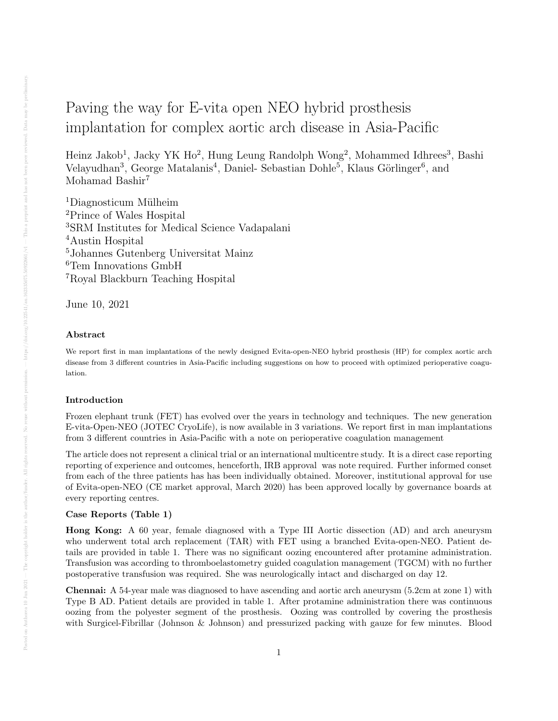# Paving the way for E-vita open NEO hybrid prosthesis implantation for complex aortic arch disease in Asia-Pacific

Heinz Jakob<sup>1</sup>, Jacky YK Ho<sup>2</sup>, Hung Leung Randolph Wong<sup>2</sup>, Mohammed Idhrees<sup>3</sup>, Bashi Velayudhan<sup>3</sup>, George Matalanis<sup>4</sup>, Daniel- Sebastian Dohle<sup>5</sup>, Klaus Görlinger<sup>6</sup>, and Mohamad Bashir<sup>7</sup>

Diagnosticum Mülheim Prince of Wales Hospital SRM Institutes for Medical Science Vadapalani Austin Hospital Johannes Gutenberg Universitat Mainz <sup>6</sup>Tem Innovations GmbH Royal Blackburn Teaching Hospital

June 10, 2021

#### Abstract

We report first in man implantations of the newly designed Evita-open-NEO hybrid prosthesis (HP) for complex aortic arch disease from 3 different countries in Asia-Pacific including suggestions on how to proceed with optimized perioperative coagulation.

# Introduction

Frozen elephant trunk (FET) has evolved over the years in technology and techniques. The new generation E-vita-Open-NEO (JOTEC CryoLife), is now available in 3 variations. We report first in man implantations from 3 different countries in Asia-Pacific with a note on perioperative coagulation management

The article does not represent a clinical trial or an international multicentre study. It is a direct case reporting reporting of experience and outcomes, henceforth, IRB approval was note required. Further informed conset from each of the three patients has has been individually obtained. Moreover, institutional approval for use of Evita-open-NEO (CE market approval, March 2020) has been approved locally by governance boards at every reporting centres.

#### Case Reports (Table 1)

Hong Kong: A 60 year, female diagnosed with a Type III Aortic dissection (AD) and arch aneurysm who underwent total arch replacement (TAR) with FET using a branched Evita-open-NEO. Patient details are provided in table 1. There was no significant oozing encountered after protamine administration. Transfusion was according to thromboelastometry guided coagulation management (TGCM) with no further postoperative transfusion was required. She was neurologically intact and discharged on day 12.

Chennai: A 54-year male was diagnosed to have ascending and aortic arch aneurysm (5.2cm at zone 1) with Type B AD. Patient details are provided in table 1. After protamine administration there was continuous oozing from the polyester segment of the prosthesis. Oozing was controlled by covering the prosthesis with Surgicel-Fibrillar (Johnson & Johnson) and pressurized packing with gauze for few minutes. Blood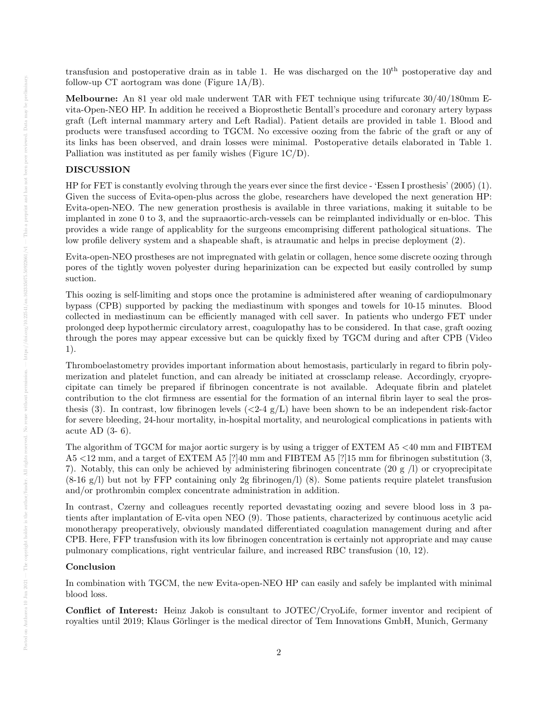transfusion and postoperative drain as in table 1. He was discharged on the  $10<sup>th</sup>$  postoperative day and follow-up CT aortogram was done (Figure 1A/B).

Melbourne: An 81 year old male underwent TAR with FET technique using trifurcate 30/40/180mm Evita-Open-NEO HP. In addition he received a Bioprosthetic Bentall's procedure and coronary artery bypass graft (Left internal mammary artery and Left Radial). Patient details are provided in table 1. Blood and products were transfused according to TGCM. No excessive oozing from the fabric of the graft or any of its links has been observed, and drain losses were minimal. Postoperative details elaborated in Table 1. Palliation was instituted as per family wishes (Figure 1C/D).

## DISCUSSION

HP for FET is constantly evolving through the years ever since the first device - 'Essen I prosthesis' (2005) (1). Given the success of Evita-open-plus across the globe, researchers have developed the next generation HP: Evita-open-NEO. The new generation prosthesis is available in three variations, making it suitable to be implanted in zone 0 to 3, and the supraaortic-arch-vessels can be reimplanted individually or en-bloc. This provides a wide range of applicablity for the surgeons emcomprising different pathological situations. The low profile delivery system and a shapeable shaft, is atraumatic and helps in precise deployment (2).

Evita-open-NEO prostheses are not impregnated with gelatin or collagen, hence some discrete oozing through pores of the tightly woven polyester during heparinization can be expected but easily controlled by sump suction.

This oozing is self-limiting and stops once the protamine is administered after weaning of cardiopulmonary bypass (CPB) supported by packing the mediastinum with sponges and towels for 10-15 minutes. Blood collected in mediastinum can be efficiently managed with cell saver. In patients who undergo FET under prolonged deep hypothermic circulatory arrest, coagulopathy has to be considered. In that case, graft oozing through the pores may appear excessive but can be quickly fixed by TGCM during and after CPB (Video 1).

Thromboelastometry provides important information about hemostasis, particularly in regard to fibrin polymerization and platelet function, and can already be initiated at crossclamp release. Accordingly, cryoprecipitate can timely be prepared if fibrinogen concentrate is not available. Adequate fibrin and platelet contribution to the clot firmness are essential for the formation of an internal fibrin layer to seal the prosthesis (3). In contrast, low fibrinogen levels  $\langle 224 \text{ g/L} \rangle$  have been shown to be an independent risk-factor for severe bleeding, 24-hour mortality, in-hospital mortality, and neurological complications in patients with acute AD (3- 6).

The algorithm of TGCM for major aortic surgery is by using a trigger of EXTEM A5 <40 mm and FIBTEM A5 <12 mm, and a target of EXTEM A5 [?]40 mm and FIBTEM A5 [?]15 mm for fibrinogen substitution (3, 7). Notably, this can only be achieved by administering fibrinogen concentrate (20 g /l) or cryoprecipitate (8-16 g/l) but not by FFP containing only 2g fibrinogen/l) (8). Some patients require platelet transfusion and/or prothrombin complex concentrate administration in addition.

In contrast, Czerny and colleagues recently reported devastating oozing and severe blood loss in 3 patients after implantation of E-vita open NEO (9). Those patients, characterized by continuous acetylic acid monotherapy preoperatively, obviously mandated differentiated coagulation management during and after CPB. Here, FFP transfusion with its low fibrinogen concentration is certainly not appropriate and may cause pulmonary complications, right ventricular failure, and increased RBC transfusion (10, 12).

### Conclusion

In combination with TGCM, the new Evita-open-NEO HP can easily and safely be implanted with minimal blood loss.

Conflict of Interest: Heinz Jakob is consultant to JOTEC/CryoLife, former inventor and recipient of royalties until 2019; Klaus Görlinger is the medical director of Tem Innovations GmbH, Munich, Germany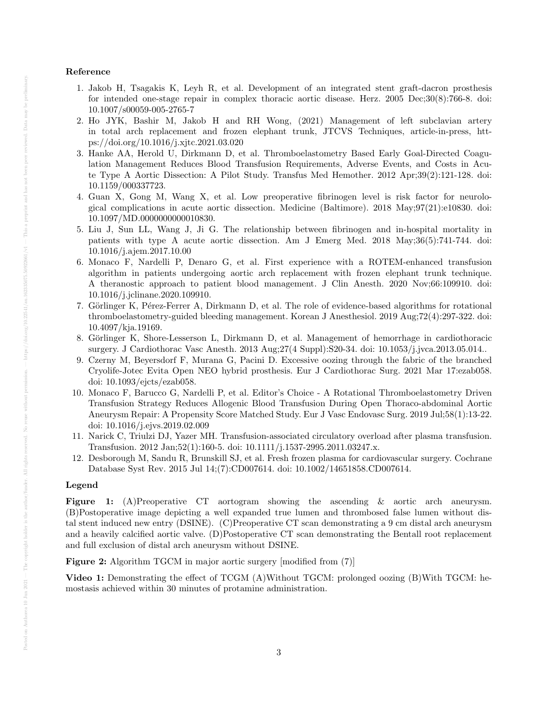### Reference

- 1. Jakob H, Tsagakis K, Leyh R, et al. Development of an integrated stent graft-dacron prosthesis for intended one-stage repair in complex thoracic aortic disease. Herz. 2005 Dec;30(8):766-8. doi: 10.1007/s00059-005-2765-7
- 2. Ho JYK, Bashir M, Jakob H and RH Wong, (2021) Management of left subclavian artery in total arch replacement and frozen elephant trunk, JTCVS Techniques, article-in-press, https://doi.org/10.1016/j.xjtc.2021.03.020
- 3. Hanke AA, Herold U, Dirkmann D, et al. Thromboelastometry Based Early Goal-Directed Coagulation Management Reduces Blood Transfusion Requirements, Adverse Events, and Costs in Acute Type A Aortic Dissection: A Pilot Study. Transfus Med Hemother. 2012 Apr;39(2):121-128. doi: 10.1159/000337723.
- 4. Guan X, Gong M, Wang X, et al. Low preoperative fibrinogen level is risk factor for neurological complications in acute aortic dissection. Medicine (Baltimore). 2018 May;97(21):e10830. doi: 10.1097/MD.0000000000010830.
- 5. Liu J, Sun LL, Wang J, Ji G. The relationship between fibrinogen and in-hospital mortality in patients with type A acute aortic dissection. Am J Emerg Med. 2018 May;36(5):741-744. doi: 10.1016/j.ajem.2017.10.00
- 6. Monaco F, Nardelli P, Denaro G, et al. First experience with a ROTEM-enhanced transfusion algorithm in patients undergoing aortic arch replacement with frozen elephant trunk technique. A theranostic approach to patient blood management. J Clin Anesth. 2020 Nov;66:109910. doi: 10.1016/j.jclinane.2020.109910.
- 7. Görlinger K, Pérez-Ferrer A, Dirkmann D, et al. The role of evidence-based algorithms for rotational thromboelastometry-guided bleeding management. Korean J Anesthesiol. 2019 Aug;72(4):297-322. doi: 10.4097/kja.19169.
- 8. Görlinger K, Shore-Lesserson L, Dirkmann D, et al. Management of hemorrhage in cardiothoracic surgery. J Cardiothorac Vasc Anesth. 2013 Aug;27(4 Suppl):S20-34. doi: 10.1053/j.jvca.2013.05.014..
- 9. Czerny M, Beyersdorf F, Murana G, Pacini D. Excessive oozing through the fabric of the branched Cryolife-Jotec Evita Open NEO hybrid prosthesis. Eur J Cardiothorac Surg. 2021 Mar 17:ezab058. doi: 10.1093/ejcts/ezab058.
- 10. Monaco F, Barucco G, Nardelli P, et al. Editor's Choice A Rotational Thromboelastometry Driven Transfusion Strategy Reduces Allogenic Blood Transfusion During Open Thoraco-abdominal Aortic Aneurysm Repair: A Propensity Score Matched Study. Eur J Vasc Endovasc Surg. 2019 Jul;58(1):13-22. doi: 10.1016/j.ejvs.2019.02.009
- 11. Narick C, Triulzi DJ, Yazer MH. Transfusion-associated circulatory overload after plasma transfusion. Transfusion. 2012 Jan;52(1):160-5. doi: 10.1111/j.1537-2995.2011.03247.x.
- 12. Desborough M, Sandu R, Brunskill SJ, et al. Fresh frozen plasma for cardiovascular surgery. Cochrane Database Syst Rev. 2015 Jul 14;(7):CD007614. doi: 10.1002/14651858.CD007614.

# Legend

Figure 1: (A)Preoperative CT aortogram showing the ascending & aortic arch aneurysm. (B)Postoperative image depicting a well expanded true lumen and thrombosed false lumen without distal stent induced new entry (DSINE). (C)Preoperative CT scan demonstrating a 9 cm distal arch aneurysm and a heavily calcified aortic valve. (D)Postoperative CT scan demonstrating the Bentall root replacement and full exclusion of distal arch aneurysm without DSINE.

Figure 2: Algorithm TGCM in major aortic surgery [modified from  $(7)$ ]

Video 1: Demonstrating the effect of TCGM (A)Without TGCM: prolonged oozing (B)With TGCM: hemostasis achieved within 30 minutes of protamine administration.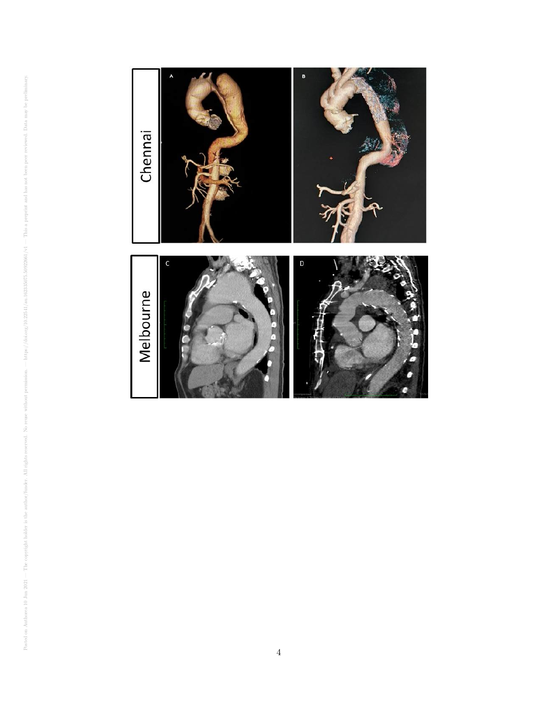